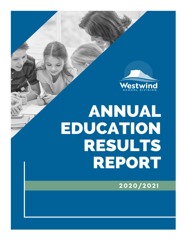

# **ANNUAL** EDUCATION **RESULTS REPORT**

2020/2021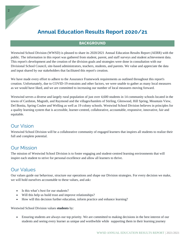# **Annual Education Results Report 2020/21**

#### **BACKGROUND**

Westwind School Division (WWSD) is pleased to share its 2020/2021 Annual Education Results Report (AERR) with the public. The information in this report was gathered from student, parent, and staff surveys and student achievement data. This report's development and the creation of the division goals and strategies were done in consultation with our Divisional School Council, site-based administrators, teachers, students, and parents. We value and appreciate the data and input shared by our stakeholders that facilitated this report's creation.

We have made every effort to adhere to the Assurance Framework requirements as outlined throughout this report's creation. Unfortunately, due to COVID-19 restraints and other factors, we were unable to gather as many local measures as we would have liked, and we are committed to increasing our number of local measures moving forward.

Westwind serves a diverse and largely rural population of just over 4,600 students in 14 community schools located in the towns of Cardston, Magrath, and Raymond and the villages/hamlets of Stirling, Glenwood, Hill Spring, Mountain View, Del Bonita, Spring Coulee and Welling as well as 19 colony schools. Westwind School Division believes in principles for a quality learning system that is accessible, learner-centred, collaborative, accountable, responsive, innovative, fair and equitable.

# Our Vision

Westwind School Division will be a collaborative community of engaged learners that inspires all students to realize their full and complete potential.

# Our Mission

The mission of Westwind School Division is to foster engaging and student-centred learning environments that will inspire each student to strive for personal excellence and allow all learners to thrive.

# Our Values

Our values guide our behaviour, structure our operations and shape our Division strategies. For every decision we make, we will hold ourselves accountable to these values, and ask**:**

- Is this what's best for our students?
- Will this help us build trust and improve relationships?
- How will this decision further education, inform practice and enhance learning?

Westwind School Division values **students** by:

• Ensuring students are always our top priority. We are committed to making decisions in the best interest of our students and seeing every learner as unique and worthwhile while supporting them in their learning journey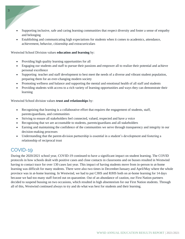- Supporting inclusive, safe and caring learning communities that respect diversity and foster a sense of empathy and belonging
- Establishing and communicating high expectations for students when it comes to academics, attendance, achievement, behavior, citizenship and extracurriculars

#### Westwind School Division values **education and learning** by:

- Providing high quality learning opportunities for all
- Engaging our students and staff to pursue their passions and empower all to realize their potential and achieve personal excellence
- Supporting teacher and staff development to best meet the needs of a diverse and vibrant student population, preparing them for an ever-changing modern society
- Promoting wellness and balance and supporting the mental and emotional health of all staff and students
- Providing students with access to a rich variety of learning opportunities and ways they can demonstrate their learning

Westwind School division values **trust and relationships** by:

- Recognizing that learning is a collaborative effort that requires the engagement of students, staff, parents/guardians, and communities
- Striving to ensure all stakeholders feel connected, valued, respected and have a voice
- Recognizing that we are accountable to students, parents/guardians and all stakeholders
- Earning and maintaining the confidence of the communities we serve through transparency and integrity in our decision-making processes
- Understanding that the parent-division partnership is essential in a student's development and fostering a relationship of reciprocal trust

# COVID-19

3

During the 2020/2021 school year, COVID-19 continued to have a significant impact on student learning. The COVID protocols in how schools dealt with positive cases and close contacts in classrooms and on busses resulted in Westwind having to contact trace for over 130 cases last year. This impact of having students move from in-person to at-home learning was difficult for many students. There were also two times in December/January and April/May where the whole province was in at-home learning. In Westwind, we had to put CJHS and RJHS both on at-home learning for 14 days because we had too many staff forced out on quarantine. Out of an abundance of caution, our First Nation partners decided to suspend bussing on two occasions, which resulted in high absenteeism for our First Nation students. Through all of this, Westwind continued always to try and do what was best for students and their learning.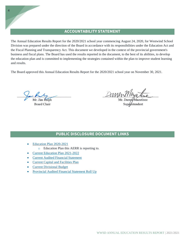## **ACCOUNTABILITY STATEMENT**

The Annual Education Results Report for the 2020/2021 school year commencing August 24, 2020, for Westwind School Division was prepared under the direction of the Board in accordance with its responsibilities under the Education Act and the Fiscal Planning and Transparency Act. This document we developed in the context of the provincial government's business and fiscal plans. The Board has used the results reported in the document, to the best of its abilities, to develop the education plan and is committed to implementing the strategies contained within the plan to improve student learning and results.

The Board approved this Annual Education Results Report for the 2020/2021 school year on November 30, 2021.

**Board Chair** 

DOMENT Unit And

## **PUBLIC DISCLOSURE DOCUMENT LINKS**

- [Education Plan](https://www.westwind.ab.ca/download/332219) 2020-2021
	- o Education Plan this AERR is reporting to.
- [Current Education Plan 2021-2022](https://www.westwind.ab.ca/download/348803)
- **[Current Audited Financial Statement](https://www.westwind.ab.ca/download/374306)**
- **[Current Capital and Facilities Plan](https://www.westwind.ab.ca/download/347757)**
- [Current Divisional Budget](https://www.westwind.ab.ca/download/347760)
- [Provincial Audited Financial Statement Roll Up](https://www.alberta.ca/k-12-education-financial-statements.aspx)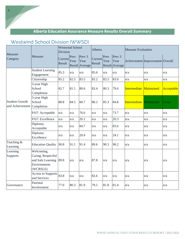# **Alberta Education Assurance Measure Results Overall Summary**

# Westwind School Division (WWSD)

| Measure<br>Category                      | Measure                                                                           | <b>Westwind School</b><br>Division |              |                                                    | Alberta           |              |                                             | <b>Measure Evaluation</b> |                                 |                   |
|------------------------------------------|-----------------------------------------------------------------------------------|------------------------------------|--------------|----------------------------------------------------|-------------------|--------------|---------------------------------------------|---------------------------|---------------------------------|-------------------|
|                                          |                                                                                   | Current<br>Result                  | Prev<br>Year | Prev <sub>3</sub><br>Year<br><b>Result</b> Average | Current<br>Result | Prev<br>Year | Prev <sub>3</sub><br>Year<br>Result Average |                           | Achievement Improvement Overall |                   |
| <b>Student Growth</b><br>and Achievement | <b>Student Learning</b><br>Engagement                                             | 85.3                               | n/a          | n/a                                                | 85.6              | n/a          | n/a                                         | n/a                       | n/a                             | n/a               |
|                                          | Citizenship                                                                       | 85.2                               | 82.5         | 83.5                                               | 83.2              | 83.3         | 83.0                                        | n/a                       | n/a                             | n/a               |
|                                          | 3-year High<br>School<br>Completion                                               | 82.7                               | 81.1         | 80.6                                               | 83.4              | 80.3         | 79.6                                        | Intermediate              | Maintained                      | <b>Acceptable</b> |
|                                          | 5-year High<br>School<br>Completion                                               | 88.8                               | 84.5         | 84.7                                               | 86.2              | 85.3         | 84.8                                        | <b>Intermediate</b>       | Maintained                      | Good              |
|                                          | PAT: Acceptable                                                                   | n/a                                | n/a          | 76.6                                               | n/a               | n/a          | 73.7                                        | n/a                       | n/a                             | n/a               |
|                                          | PAT: Excellence                                                                   | n/a                                | n/a          | 20.1                                               | n/a               | n/a          | 20.3                                        | n/a                       | n/a                             | n/a               |
|                                          | Diploma:<br>Acceptable                                                            | n/a                                | n/a          | 84.7                                               | n/a               | n/a          | 83.6                                        | n/a                       | n/a                             | n/a               |
|                                          | Diploma:<br>Excellence                                                            | n/a                                | n/a          | 20.4                                               | n/a               | n/a          | 24.1                                        | n/a                       | n/a                             | n/a               |
| Teaching &<br>Learning                   | <b>Education Quality</b>                                                          | 90.8                               | 91.1         | 91.4                                               | 89.6              | 90.3         | 90.2                                        | n/a                       | n/a                             | n/a               |
| Learning<br>Supports                     | Welcoming,<br>Caring, Respectful<br>and Safe Learning<br>Environments<br>(WCRSLE) | 89.8                               | n/a          | n/a                                                | 87.8              | n/a          | n/a                                         | n/a                       | n/a                             | n/a               |
|                                          | <b>Access to Supports</b><br>and Services                                         | 83.8                               | n/a          | n/a                                                | 82.6              | n/a          | n/a                                         | n/a                       | n/a                             | n/a               |
| Governance                               | Parental<br>Involvement                                                           | 77.0                               | 80.3         | 81.9                                               | 79.5              | 81.8         | 81.4                                        | n/a                       | n/a                             | n/a               |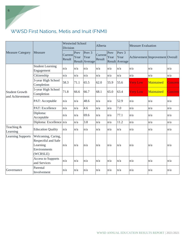# WWSD First Nations, Metis and Inuit (FNMI)

|                                          |                                                       | <b>Westwind School</b><br>Division |              |                                                    | Alberta           |              |                                             | <b>Measure Evaluation</b> |                                 |         |
|------------------------------------------|-------------------------------------------------------|------------------------------------|--------------|----------------------------------------------------|-------------------|--------------|---------------------------------------------|---------------------------|---------------------------------|---------|
| <b>Measure Category</b>                  | Measure                                               | Current<br>Result                  | Prev<br>Year | Prev <sub>3</sub><br>Year<br><b>Result</b> Average | Current<br>Result | Prev<br>Year | Prev <sub>3</sub><br>Year<br>Result Average |                           | Achievement Improvement Overall |         |
| <b>Student Growth</b><br>and Achievement | <b>Student Learning</b><br>Engagement                 | n/a                                | n/a          | n/a                                                | n/a               | n/a          | n/a                                         | n/a                       | n/a                             | n/a     |
|                                          | Citizenship                                           | n/a                                | n/a          | n/a                                                | n/a               | n/a          | n/a                                         | n/a                       | n/a                             | n/a     |
|                                          | 3-year High School<br>Completion                      | 58.3                               | 71.1         | 65.5                                               | 62.0              | 55.9         | 55.6                                        | <b>Very Low</b>           | Maintained                      | Concern |
|                                          | 5-year High School<br>Completion                      | 71.8                               | 66.6         | 66.7                                               | 68.1              | 65.0         | 63.4                                        | <b>Very Low</b>           | Maintained                      | Concern |
|                                          | PAT: Acceptable                                       | n/a                                | n/a          | 48.6                                               | n/a               | n/a          | 52.9                                        | n/a                       | n/a                             | n/a     |
|                                          | PAT: Excellence                                       | n/a                                | n/a          | 4.6                                                | n/a               | n/a          | 7.0                                         | n/a                       | n/a                             | n/a     |
|                                          | Diploma:<br>Acceptable                                | n/a                                | n/a          | 69.6                                               | n/a               | n/a          | 77.1                                        | n/a                       | n/a                             | n/a     |
|                                          | Diploma: Excellence n/a                               |                                    | n/a          | 3.8                                                | n/a               | n/a          | 11.2                                        | n/a                       | n/a                             | n/a     |
| Teaching &<br>Learning                   | <b>Education Quality</b>                              | n/a                                | n/a          | n/a                                                | n/a               | n/a          | n/a                                         | n/a                       | n/a                             | n/a     |
| <b>Learning Supports</b>                 | Welcoming, Caring,<br>Respectful and Safe<br>Learning | n/a                                | n/a          | n/a                                                | n/a               | n/a          | n/a                                         | n/a                       | n/a                             | n/a     |
|                                          | Environments<br>(WCRSLE)                              |                                    |              |                                                    |                   |              |                                             |                           |                                 |         |
|                                          | <b>Access to Supports</b><br>and Services             | n/a                                | n/a          | n/a                                                | n/a               | n/a          | n/a                                         | n/a                       | n/a                             | n/a     |
| Governance                               | Parental<br>Involvement                               | n/a                                | n/a          | n/a                                                | n/a               | n/a          | n/a                                         | n/a                       | n/a                             | n/a     |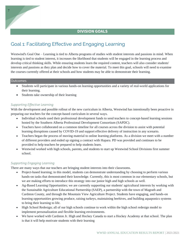## **DIVISION GOALS**

# Goal 1: Facilitating Effective and Engaging Learning

Westwind's Goal One – Learning is tied to Alberta programs of studies with student interests and passions in mind. When learning is tied to student interest, it increases the likelihood that students will be engaged in the learning process and develop critical thinking skills. While ensuring students learn the required content, teachers will also consider students' interests and passions as they plan and decide how to cover the material. To meet this goal, schools will need to examine the courses currently offered at their schools and how students may be able to demonstrate their learning.

#### **Outcomes**

- Students will participate in various hands-on learning opportunities and a variety of real-world applications for their learning.
- Students take ownership of their learning

#### *Supporting Effective Learning*

With the development and possible rollout of the new curriculum in Alberta, Westwind has intentionally been proactive in preparing our teachers for the concept-based curriculum in several ways.

- Individual schools used their professional development funds to send teachers to concept-based learning sessions hosted by the Southern Alberta Professional Development Consortium (SAPDC).
- Teachers have collaborated on a common timeline for all courses across the division to assist with potential learning disruptions caused by COVID-19 and support effective delivery of instruction in any scenario.
- Teachers began the process of moving material to online learning platforms. As a division we meet with a number of different providers and ended up signing a contract with Hapara. PD was provided and continues to be provided to help teachers be prepared to help students learn.
- Westwind worked with high schools, parents, and students to start up Westwind School Divisions first summer school.

#### *Supporting Engaging Learning*

There are many ways that our teachers are bringing student interests into their classrooms.

- Project-based learning; in this model, students can demonstrate understanding by choosing to perform various hands-on tasks that demonstrated their knowledge. Currently, this is most common in our elementary schools, but we are making efforts to introduce this strategy into our junior high and high schools as well.
- Ag-Based Learning Opportunities; we are currently supporting our students' agricultural interests by working with the Sustainable Agriculture Educational Partnership (SAEP), a partnership with the town of Magrath and Cardston County, and through the Mountain View Agriculture Project. Students have engaging, and hands-on learning opportunities growing produce, raising turkeys, maintaining beehives, and building aquaponics systems to bring their learning to life.
- High School Redesign; all of our high schools continue to work within the high school redesign model to implement personalization and flexible learning environments.
- We have worked with Cardston Jr. High and Hockey Canada to start a Hockey Academy at that school. The plan is that it will help motivate students with their learning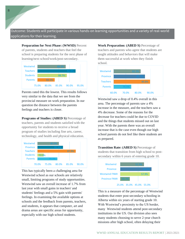Outcome: Students will participate in various hands-on learning opportunities and a variety of real-world applications for their learning.

**Preparation for Next Phase: (WWSD)** Percent of parents, students and teachers that feel the school is preparing students for the next phase of learning/next school/work/post-secondary.



Parents rated this the lowest. This results follows very similar to the data that we see from the provincial measure on work preparation. In our question the distance between the parents feelings and teachers is closer.

**Programs of Studies: (ABED S)** Percentage of teachers, parents and students satisfied with the opportunity for students to receive a broad program of studies including fine arts, career, technology, and health and physical education.



This has typically been a challenging area for Westwind school as our schools are relatively small, limiting programs of study opportunities. Westwind saw an overall increase of 1.7% from last year with small gains in teachers' and students' feelings and a 5% gain with parents' feelings. In examining the available options at schools and the feedback from parents, teachers, and students, it appears that computer, art and drama areas are specific areas for opportunity, especially with our high school students.

**Work Preparation: (ABED S)** Percentage of teachers and parents who agree that students are taught attitudes and behaviors that will make them successful at work when they finish school.



Westwind saw a drop of 0.4% overall in this area. The percentage of parents saw a 4% increase in the measure, and the teachers saw a 4% decrease. Some of the reasons for the decrease for teachers could be due to COVID and the things that students missed out on last year. With the parents there was an overall increase that is the case even though our high school parents do not feel like there students are as prepared.

**Transition Rate: (ABED S)** Percentage of students that transition from high school to postsecondary within 6 years of entering grade 10.



This is a measure of the percentage of Westwind students that enter post-secondary schooling in Alberta within six years of starting grade 10. With Westwind's proximity to the US border, many Westwind students attend post-secondary institutions in the US. Our division also sees many students choosing to serve 2-year church missions after high school, often delaying their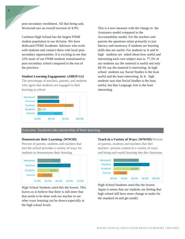post-secondary enrollment. All that being said, Westwind saw an overall increase of 4.9%.

Cardston High School has the largest FNMI student population in our division. We have dedicated FNMI Academic Advisors who work with students and connect them with local postsecondary opportunities. It is exciting to see that 22% more of our FNMI students transitioned to post-secondary school compared to the rest of the province.

#### **Student Learning Engagement: (ABED G1)**

The percentage of teachers, parents, and students who agree that students are engaged in their learning at school



This is a new measure with the change to the Assurance model compared to the Accountability model. For the teachers and parents the questions relate primarily to just literacy and numeracy if students are learning skills that are useful. For students in Jr and Sr high students are asked about how useful and interesting each core subject area is. 77.3% of our students say the material is useful and only 68.3% say the material is interesting. In high school students say Social Studies is the least useful and the least interesting. In Jr. high students says that Social Studies is the least useful, but that Language Arts is the least interesting.

#### Outcome: Students take ownership of their learning

#### **Demonstrate their Learning: (WWSD)**

Percent of parents, students and teachers that feel the school provides a variety of ways for students to demonstrate their learning.



High School Students rated this the lowest. This leaves us to believe that there is still more that that needs to be done with our teacher to see other ways learning can be shown especially at the high school levels.

**Teach in a Variety of Ways: (WWSD)** Percent of parents, students and teachers that feel teachers present content in a variety of ways and bring real-world learning into the classroom.



High School Students rated this the lowest. Again it seems that our students are feeling that high school still have more change to make for the standard sit and get model.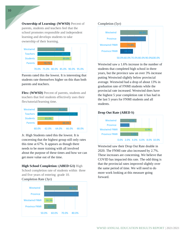**Ownership of Learning: (WWSD)** Percent of parents, students and teachers feel that the school promotes responsible and independent learning and develops students to take ownership of their learning.



Parents rated this the lowest. It is interesting that students rate themselves higher on this than both parents and teachers.

**Flex: (WWSD)** Percent of parents, students and teachers that feel students effectively uses their flex/tutorial/learning time.



Jr. High Students rated this the lowest. It is concerning that the highest group still only rates this time at 67%. It appears as though there needs to be more training with all involved about the purpose of these times and how we can get more value out of the time.

**High School Completion: (ABED G1)** High

School completion rate of students within three and five years of entering grade 10. Completion Rate (3yr)



#### Completion (5yr)



Westwind saw a 1.6% increase in the number of students that completed high school in three years, but the province saw an over 3% increase putting Westwind slightly below provincial average. Westwind had a drop of about 13% in graduation rate of FNMI students while the provincial rate increased. Westwind does have the highest 5 year completion rate it has had in the last 5 years for FNMI students and all students.

#### **Drop Out Rate (ABED S)**



Westwind saw their Drop Out Rate double in 2020. The FNMI rate also increased by 2.7%. These increases are concerning. We believe that COVID has impacted this rate. The odd thing is that the provincial rates improved slightly over the same period of time. We will need to do more work looking at this measure going forward.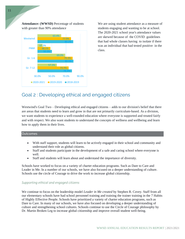**Attendance: (WWSD)** Percentage of students with greater than 90% attendance



We are using student attendance as a measure of students engaging and wanting to be at school. The 2020-2021 school year's attendance values are skewed because of the COVID guidelines that had whole classes having to isolate if there was an individual that had tested positive in the class.

# Goal 2 : Developing ethical and engaged citizens

Westwind's Goal Two – Developing ethical and engaged citizens – adds to our division's belief that there are areas that students need to learn and grow in that are not primarily curriculum-based. As a division, we want students to experience a well-rounded education where everyone is supported and treated fairly and with respect. We also want students to understand the concepts of wellness and wellbeing and learn how to apply them in their lives.

#### **Outcomes**

- With staff support, students will learn to be actively engaged in their school and community and understand their role as global citizens.
- Staff and students participate in the development of a safe and caring school where everyone is well.
- Staff and students will learn about and understand the importance of diversity.

Schools have worked to focus on a variety of charter education programs. Such as Dare to Care and Leader in Me. In a number of our schools, we have also focused on a deeper understanding of culture. Schools use the circle of Courage to drive the work to increase global citizenship.

#### *Supporting ethical and engaged citizens*

We continue to focus on the leadership model *Leader in Me created* by Stephen R. Covey. Staff from all our elementary schools have had school personnel training and training the trainer training in the 7 Habits of Highly Effective People. Schools have prioritized a variety of charter education programs, such as Dare to Care. In many of our schools, we have also focused on developing a deeper understanding of culture and strengthening school cultures. Schools continue to use the Circle of Courage philosophy by Dr. Martin Broken Leg to increase global citizenship and improve overall student well-being.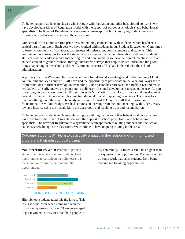To better support students in classes who struggle with regulation and other behavioural concerns, we have developed a River of Regulation model with the support of school psychologists and behavioural specialists. The River of Regulation is a systematic, team approach to identifying student needs and focusing on students safely being in the classroom.

Our central office administration prioritizes maintaining connections with students, which has been a critical part of our work. Each year we have worked with students in our Student Engagement Committee to foster a community of collaboration between administration, board members and students. This committee has allowed us to hear the student's voices, gather valuable information, and teach students skills of service, leadership and goal setting. In addition, annually we have held lunch meetings with our student council to gather feedback through interactive surveys that help us better understand the good things happening in the school and identify student concerns. This data is shared with the school administration.

A primary focus in Westwind has been developing foundational knowledge and understanding of First Nation Inuit and Metis culture. Staff have had the opportunity to participate in the Weaving Ways series of presentations to further develop understanding. Our division has purchased the Buffalo Kit and made it available to all staff, and we are preparing to deliver professional development to staff on its use. As part of our ongoing work, we have had PD sessions with Mr. Martin Broken Leg, his work and development around the Circle of Courage and become foundational to work happening in schools. There was lots of planning thought out the year to be ready to host our August PD day for staff that focussed on foundational FNMI knowledge. We had sessions on learning from the land, meetings with Elders, treaty law and history, using the buffalo kit in the classroom, and teaching truth and reconciliation.

To better support students in classes who struggle with regulation and other behavioural concerns, we have developed the River of Regulation with the support of school phycologist and behavioural specialists. The River of Regulation is a systematic, team approach to relating students and focuses on students safely being in the classroom. We continue to have ongoing training in this area.

#### Outcome: Students Will learn to be actively engaged in their school and community and understand their role as global citizens.

**Volunteerism: (WWSD)** Percent of parents, students and teachers that feel students have opportunities to participate in volunteerism in the school or through other community opportunities.



High School students rated this the lowest. This result is a bit lower when compared with the provincial questions that say, "I am encouraged to get involved in activities that help people in

my community". Students rated this higher than our questions on opportunities. We may need to do some work that takes students from being encouraged to taking opportunities.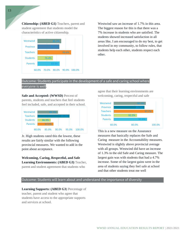**Citizenship: (ABED G1)** Teachers, parent and student agreement that students model the characteristics of active citizenship.



Westwind saw an increase of 1.7% in this area. The biggest reason for this is that there was a 7% increase in students who are satisfied. The students showed increased satisfaction in all areas like, I am encouraged to do my best, to get involved in my community, to follow rules, that students help each other, students respect each other.

#### Outcome: Students participate in the development of a safe and caring school where

everyone is well.

**Safe and Accepted: (WWSD)** Percent of parents, students and teachers that feel students feel included, safe, and accepted in their school.



Jr. High students rated this the lowest, these results are fairly similar with the following provincial measures. We wanted to add in the point about acceptance.

**Welcoming, Caring, Respectful, and Safe Learning Environments: (ABED G3)** Teacher, parent and student agreement that students who

agree that their learning environments are welcoming, caring, respectful and safe



This is a new measure on the Assurance measures that basically replaces the Safe and Caring measure in the Accountability measures. Westwind is slightly above provincial average with all groups. Westwind did have an increase of 1.3% in the old Safe and Caring measure. The largest gain was with students that had a 4.7% increase. Some of the largest gains were in the area of students saying they feel safe at school and that other students treat me well

#### Outcome: Students will learn about and understand the importance of diversity

**Learning Supports: (ABED G3)** Percentage of teacher, parent and student who agree that students have access to the appropriate supports and services at school.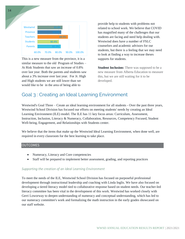

This is a new measure from the province, it is a similar measure to the old Program of Studies – At Risk Students that saw an increase of 0.8% over last year. Both the parents and students saw about a 3% increase over last year. For Jr. High and High students we are still lower than we would like to be in the area of being able to

provide help to students with problems not related to school work. We believe that COVID has magnified many of the challenges that our students are facing and need help dealing with. Westwind does have a number of FSLC counselors and academic advisors for our students, but there is a feeling that we may need to look at finding a way to increase theses supports for students.

**Student Inclusion:** There was supposed to be a new measure from Alberta Education to measure this, but we are still waiting for it to be developed.

# Goal 3 : Creating an Ideal Learning Environment

Westwind's Goal Three – Create an ideal learning environment for all students - Over the past three years, Westwind School Division has focused our efforts on meeting students' needs by creating an Ideal Learning Environment (ILE) model. The ILE has 11 key focus areas: Curriculum, Assessment, Instruction, Inclusion, Literacy & Numeracy, Collaboration, Resources, Competency Focused, Student Well-being, Engagement, and Relationships with Students center.

We believe that the items that make up the Westwind Ideal Learning Environment, when done well, are required in every classroom for the best learning to take place.

#### OUTCOMES

- Numeracy, Literacy and Core competencies
- Staff will be prepared to implement better assessment, grading, and reporting practices

#### *Supporting the creation of an Ideal Learning Environment*

To meet the needs of the ILE, Westwind School Division has focused on purposeful professional development through instructional leadership and coaching with Linda Inglis. We have also focused on developing a tiered literacy model tied to collaborative response based on student needs. Our teacher-led literacy committee has been vital in the development of this work. Westwind has worked closely with Gerri Loworway to deepen understanding of numeracy and conceptual understanding, which has led to our numeracy committee's work and formalizing the math instruction in the early grades showcased on our staff website.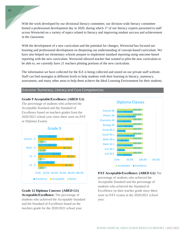With the work developed by our divisional literacy committee, our division-wide literacy committee hosted a professional development day in 2020, during which 17 of our literacy experts presented to staff across Westwind on a variety of topics related to literacy and improving student success and achievement in the classroom.

With the development of a new curriculum and the potential for changes, Westwind has focused our learning and professional development on deepening our understanding of concept-based curriculum. We have also helped our elementary schools prepare to implement standard reporting using outcome-based reporting with the new curriculum. Westwind allowed teacher that wanted to pilot the new curriculum to be able to, we currently have 21 teachers piloting portions of the new curriculum.

The information we have collected for the ILE is being collected and stored on our private staff website. Staff can find strategies at different levels to help students with their learning in literacy, numeracy, assessment, and many other areas to help them achieve the Ideal Learning Environment for their students.

#### Outcome: Numeracy, Literacy and Core Competencies

#### **Grade 9 Acceptable/Excellence: (ABED G1)**

The percentage of students who achieved the Acceptable Standard and the Standard of Excellence based on teachers grades from the 2020/2021 school year since there were no PAT or Diploma Exams.



#### **Grade 12 Diploma Courses: (ABED G1) Acceptable/Excellence:** The percentage of

students who achieved the Acceptable Standard and the Standard of Excellence based on the teachers grade for the 2020/2021 school year.



#### **PAT Acceptable/Excellence: (ABED G1)** The

percentage of students who achieved the Acceptable Standard and the percentage of students who achieved the Standard of Excellence on their teacher grade since there were no PAT exams in the 2020/2021 school year.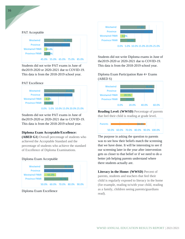#### PAT Acceptable



Students did not write PAT exams in June of the2019-2020 or 2020-2021 due to COVID-19. This data is from the 2018-2019 school year.

#### PAT Excellence



Students did not write PAT exams in June of the2019-2020 or 2020-2021 due to COVID-19. This data is from the 2018-2019 school year.

#### **Diploma Exam Acceptable/Excellence:**

**(ABED G1)** Overall percentage of students who achieved the Acceptable Standard and the percentage of students who achieve the standard of Excellence of Diploma Examinations.

#### Diploma Exam Acceptable



Diploma Exam Excellence



Students did not write Diploma exams in June of the2019-2020 or 2020-2021 due to COVID-19. This data is from the 2018-2019 school year.

Diploma Exam Participation Rate 4+ Exams (ABED S)



**Reading Level: (WWSD)** Percentage of parents that feel their child is reading at grade level.



The purpose in asking the question to parents was to see how their beliefs match the screening that we have done. It will be interesting to see if our screening later in the year after intervention gets us closer to that belief or if we need to do a better job helping parents understand where there students actually are.

**Literacy in the Home: (WWSD)** Percent of parents, students and teachers that feel their child is regularly exposed to literacy in the home (for example, reading to/with your child, reading as a family, children seeing parents/guardians read).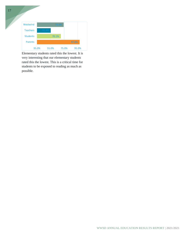

Elementary students rated this the lowest. It is very interesting that our elementary students rated this the lowest. This is a critical time for students to be exposed to reading as much as possible.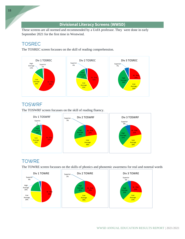## **Divisional Literacy Screens (WWSD)**

These screens are all normed and recommended by a UofA professor. They were done in early September 2021 for the first time in Westwind.

# **TOSREC**

The TOSREC screen focusses on the skill of reading comprehension.



# **TOSWRF**

The TOSWRF screen focusses on the skill of reading fluency.



# **TOWRE**

The TOWRE screen focusses on the skills of phonics and phonemic awareness for real and nonreal words

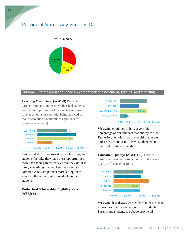# Provincial Numeracy Screens Div 1



#### Outcome: Staff to learn about and implement better assessment, grading, and reporting

**Learning Over Time: (WWSD)** Percent of parents, students and teachers that feel students are given opportunities to show learning over time at school (for example; being allowed to make corrections, resubmit assignments or retake assessments).



Parents rated this the lowest. It is interesting that students feel like they have these opportunities more than their parents believe that they do. It is likely something that teachers may need to communicate with parents more letting them know all the opportunities available to their students.

#### **Rutherford Scholarship Eligibility Rate (ABED S)**



Westwind continues to have a very high percentage of our students that qualify for the Rutherford Scholarship. It is exciting that we had a 40% more of our FNMI students who qualified for the scholarship.

**Education Quality: (ABED G2)** Teacher, parents and student satisfaction with the overall quality of basic education.



Westwind has always worked hard to ensure that it provides quality education for its students. Parents and students are above provincial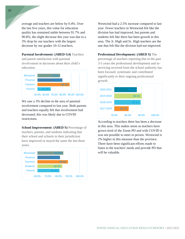average and teachers are below by 0.4%. Over the last five years, this value for education quality has remained stable between 91.7% and 90.8%, the slight decrease this year was due to a 3% drop by our teachers with the largest decrease by our grades 10-12 teachers.

**Parental Involvement: (ABED G4)** Teachers and parent satisfaction with parental involvement in decisions about their child's education.



We saw a 3% decline in the area of parental involvement compared to last year. Both parents and teachers equally felt that involvement had decreased, this was likely due to COVID restrictions.

**School Improvement: (ABED S)** Percentage of teachers, parents, and students indicating that their school and schools in their jurisdiction have improved or stayed the same the last three years.



Westwind had a 2.5% increase compared to last year. Fewer teachers in Westwind felt like the division has had improved, but parents and students felt like there has been growth in this area. The Jr. High and Sr. High teachers are the one that felt like the division had not improved.

**Professional Development: (ABED S)** The

percentage of teachers reporting that in the past 3-5 years the professional development and inservicing received from the school authority has been focused, systematic and contributed significantly to their ongoing professional growth.



According to teachers there has been a decrease in this area. This makes sense as teachers have grown tired of the Zoom PD and with COVID it was not possible to meet in person. Westwind is 2% higher in this measure than the province. There have been significant efforts made to listen to the teachers' needs and provide PD that will be valuable.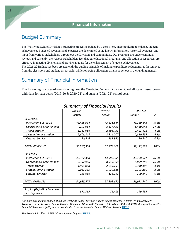# Budget Summary

The Westwind School Division's budgeting process is guided by a consistent, ongoing desire to enhance student achievement. Budgeted revenues and expenses are determined using known information, historical averages, and input from various stakeholders throughout the Division and communities. Our programs are under continual review, and currently, the various stakeholders feel that our educational programs, and allocation of resources, are effective in meeting divisional and provincial goals for the enhancement of student achievement. The 2021-22 Budget has been created with the guiding principle of making expenditure reductions, as far removed from the classroom and student, as possible, while following allocation criteria as set out in the funding manual.

## Summary of Financial Information

The following is a breakdown showing how the Westwind School Division Board allocated resources with data for past years (2019-20 & 2020-21) and current (2021-22) school year.

| <b>Summary of Financial Results</b>            |            |            |               |       |  |  |  |  |  |
|------------------------------------------------|------------|------------|---------------|-------|--|--|--|--|--|
|                                                | 2019/20    | 2020/21    | 2021/22       |       |  |  |  |  |  |
|                                                | Actual     | Actual     | <b>Budget</b> | %     |  |  |  |  |  |
| <b>REVENUES</b>                                |            |            |               |       |  |  |  |  |  |
| <b>Instruction ECS-Gr 12</b>                   | 43,425,934 | 43,621,844 | 43,760,143    | 76.5% |  |  |  |  |  |
| <b>Operations &amp; Maintenance</b>            | 7,291,054  | 8,617,459  | 8,489,543     | 14.9% |  |  |  |  |  |
| Transportation                                 | 1,782,086  | 2,593,759  | 2,421,612     | 4.2%  |  |  |  |  |  |
| <b>System Administration</b>                   | 2,608,318  | 2,314,207  | 2,310,657     | 4.1%  |  |  |  |  |  |
| <b>External Services</b>                       | 190,546    | 131,840    | 190,840       | 0.3%  |  |  |  |  |  |
|                                                |            |            |               |       |  |  |  |  |  |
| <b>TOTAL REVENUES</b>                          | 55,297,938 | 57,279,109 | 57,172,795    | 100%  |  |  |  |  |  |
|                                                |            |            |               |       |  |  |  |  |  |
| <b>EXPENSES</b>                                |            |            |               |       |  |  |  |  |  |
| <b>Instruction ECS-Gr 12</b>                   | 43,372,358 | 44,386,308 | 43,408,621    | 76.2% |  |  |  |  |  |
| <b>Operations &amp; Maintenance</b>            | 7,392,956  | 8,515,069  | 8,839,782     | 15.5% |  |  |  |  |  |
| Transportation                                 | 1,964,058  | 2,245,763  | 2,340,407     | 4.1%  |  |  |  |  |  |
| <b>System Administration</b>                   | 2,042,535  | 1,929,588  | 2,193,290     | 3.9%  |  |  |  |  |  |
| <b>External Services</b>                       | 153,666    | 125,962    | 190,840       | 0.3%  |  |  |  |  |  |
|                                                |            |            |               |       |  |  |  |  |  |
| <b>TOTAL EXPENSES</b>                          | 54,925,573 | 57,202,690 | 56,972,940    | 100%  |  |  |  |  |  |
|                                                |            |            |               |       |  |  |  |  |  |
| Surplus (Deficit) of Revenues<br>over Expenses | 372,365    | 76,419     | 199,855       |       |  |  |  |  |  |

*For more detailed information about the Westwind School Division Budget, please contact Mr. Peter Wright, Secretary Treasurer, at the Westwind School Division Divisional Office (445 Main Street, Cardston, 403-653-4991). A copy of the Audited Financial Statements (AFS) can be downloaded from the Westwind School Division Website* [HERE](https://www.westwind.ab.ca/download/374306)*.*

*The Provincial roll up of AFS information can be found* [HERE](https://www.alberta.ca/k-12-education-financial-statements.aspx)*.*